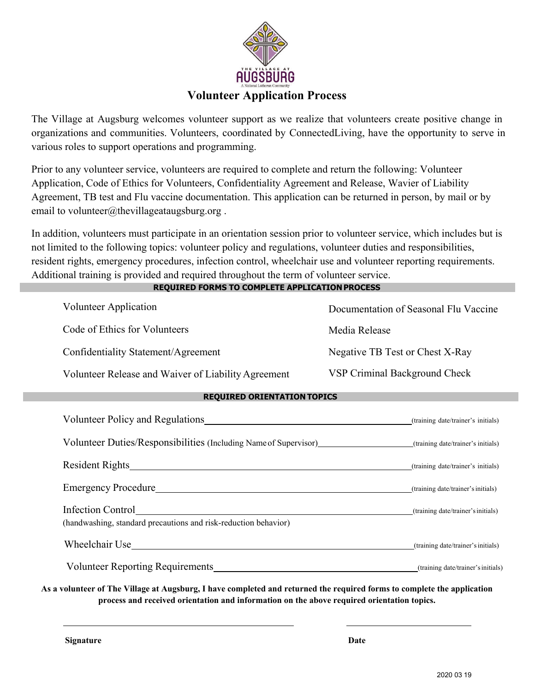

The Village at Augsburg welcomes volunteer support as we realize that volunteers create positive change in organizations and communities. Volunteers, coordinated by ConnectedLiving, have the opportunity to serve in various roles to support operations and programming.

Prior to any volunteer service, volunteers are required to complete and return the following: Volunteer Application, Code of Ethics for Volunteers, Confidentiality Agreement and Release, Wavier of Liability Agreement, TB test and Flu vaccine documentation. This application can be returned in person, by mail or by email to volunteer@thevillageataugsburg.org.

In addition, volunteers must participate in an orientation session prior to volunteer service, which includes but is not limited to the following topics: volunteer policy and regulations, volunteer duties and responsibilities, resident rights, emergency procedures, infection control, wheelchair use and volunteer reporting requirements. Additional training is provided and required throughout the term of volunteer service.

**REQUIRED FORMS TO COMPLETE APPLICATIONPROCESS**

| Volunteer Application                               | Documentation of Seasonal Flu Vaccine |
|-----------------------------------------------------|---------------------------------------|
| Code of Ethics for Volunteers                       | Media Release                         |
| Confidentiality Statement/Agreement                 | Negative TB Test or Chest X-Ray       |
| Volunteer Release and Waiver of Liability Agreement | VSP Criminal Background Check         |

#### **REQUIRED ORIENTATION TOPICS**

| Volunteer Policy and Regulations                                                     | (training date/trainer's initials) |
|--------------------------------------------------------------------------------------|------------------------------------|
| Volunteer Duties/Responsibilities (Including Name of Supervisor)                     | (training date/trainer's initials) |
|                                                                                      | (training date/trainer's initials) |
| <b>Emergency Procedure</b>                                                           | (training date/trainer's initials) |
| Infection Control<br>(handwashing, standard precautions and risk-reduction behavior) | (training date/trainer's initials) |
| Wheelchair Use                                                                       | (training date/trainer's initials) |
| Volunteer Reporting Requirements                                                     | (training date/trainer's initials) |

As a volunteer of The Village at Augsburg, I have completed and returned the required forms to complete the application **process and received orientation and information on the above required orientation topics.** 

**Signature Date**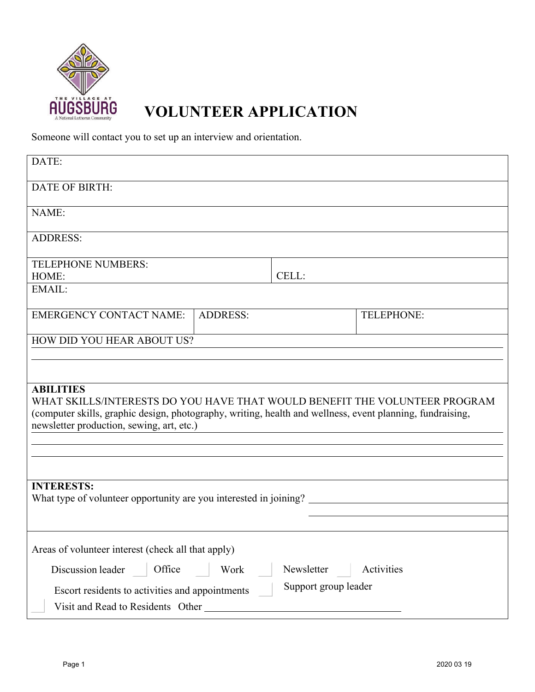

# **VOLUNTEER APPLICATION**

Someone will contact you to set up an interview and orientation.

| DATE:                                                                                                                                                                                                                                                    |                 |                      |                   |  |
|----------------------------------------------------------------------------------------------------------------------------------------------------------------------------------------------------------------------------------------------------------|-----------------|----------------------|-------------------|--|
| <b>DATE OF BIRTH:</b>                                                                                                                                                                                                                                    |                 |                      |                   |  |
| NAME:                                                                                                                                                                                                                                                    |                 |                      |                   |  |
| <b>ADDRESS:</b>                                                                                                                                                                                                                                          |                 |                      |                   |  |
| <b>TELEPHONE NUMBERS:</b><br>HOME:                                                                                                                                                                                                                       |                 | CELL:                |                   |  |
| EMAIL:                                                                                                                                                                                                                                                   |                 |                      |                   |  |
| <b>EMERGENCY CONTACT NAME:</b>                                                                                                                                                                                                                           | <b>ADDRESS:</b> |                      | <b>TELEPHONE:</b> |  |
| <b>HOW DID YOU HEAR ABOUT US?</b>                                                                                                                                                                                                                        |                 |                      |                   |  |
|                                                                                                                                                                                                                                                          |                 |                      |                   |  |
| <b>ABILITIES</b><br>WHAT SKILLS/INTERESTS DO YOU HAVE THAT WOULD BENEFIT THE VOLUNTEER PROGRAM<br>(computer skills, graphic design, photography, writing, health and wellness, event planning, fundraising,<br>newsletter production, sewing, art, etc.) |                 |                      |                   |  |
|                                                                                                                                                                                                                                                          |                 |                      |                   |  |
|                                                                                                                                                                                                                                                          |                 |                      |                   |  |
| <b>INTERESTS:</b><br>What type of volunteer opportunity are you interested in joining?                                                                                                                                                                   |                 |                      |                   |  |
|                                                                                                                                                                                                                                                          |                 |                      |                   |  |
| Areas of volunteer interest (check all that apply)                                                                                                                                                                                                       |                 |                      |                   |  |
| Office<br>Discussion leader                                                                                                                                                                                                                              | Work            | Newsletter           | Activities        |  |
| Escort residents to activities and appointments                                                                                                                                                                                                          |                 | Support group leader |                   |  |
| Visit and Read to Residents Other                                                                                                                                                                                                                        |                 |                      |                   |  |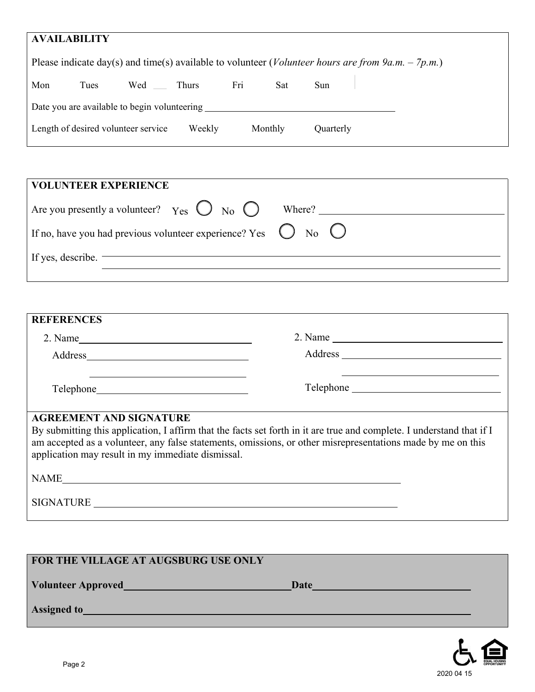| <b>AVAILABILITY</b>                                                                                                 |                                     |     |        |     |         |            |  |
|---------------------------------------------------------------------------------------------------------------------|-------------------------------------|-----|--------|-----|---------|------------|--|
| Please indicate day(s) and time(s) available to volunteer ( <i>Volunteer hours are from 9a.m.</i> – 7 <i>p.m.</i> ) |                                     |     |        |     |         |            |  |
| Mon                                                                                                                 | Tues                                | Wed | Thurs  | Fri | Sat     | <b>Sun</b> |  |
| Date you are available to begin volunteering                                                                        |                                     |     |        |     |         |            |  |
|                                                                                                                     | Length of desired volunteer service |     | Weekly |     | Monthly | Quarterly  |  |

| VOLUNTEER EXPERIENCE                                                                  |  |
|---------------------------------------------------------------------------------------|--|
| Are you presently a volunteer? $Y_{\text{es}} \bigcirc Y_{\text{no}} \bigcirc$ Where? |  |
| If no, have you had previous volunteer experience? Yes $\bigcirc$ No $\bigcirc$       |  |
| If yes, describe.                                                                     |  |
|                                                                                       |  |

| <b>REFERENCES</b>                                                                   |                                                                                                                                                                                                                                      |
|-------------------------------------------------------------------------------------|--------------------------------------------------------------------------------------------------------------------------------------------------------------------------------------------------------------------------------------|
| $2. Name$ $\qquad \qquad \qquad$                                                    | $2. Name \_$                                                                                                                                                                                                                         |
|                                                                                     |                                                                                                                                                                                                                                      |
|                                                                                     |                                                                                                                                                                                                                                      |
| <b>AGREEMENT AND SIGNATURE</b><br>application may result in my immediate dismissal. | By submitting this application, I affirm that the facts set forth in it are true and complete. I understand that if I<br>am accepted as a volunteer, any false statements, omissions, or other misrepresentations made by me on this |
| <b>NAME</b>                                                                         |                                                                                                                                                                                                                                      |

SIGNATURE

| FOR THE VILLAGE AT AUGSBURG USE ONLY                                                                                                                                                                                                 |      |  |
|--------------------------------------------------------------------------------------------------------------------------------------------------------------------------------------------------------------------------------------|------|--|
| Volunteer Approved <b>Contract Contract Contract Contract Contract Contract Contract Contract Contract Contract Contract Contract Contract Contract Contract Contract Contract Contract Contract Contract Contract Contract Cont</b> | Date |  |
| <b>Assigned to</b>                                                                                                                                                                                                                   |      |  |
|                                                                                                                                                                                                                                      |      |  |

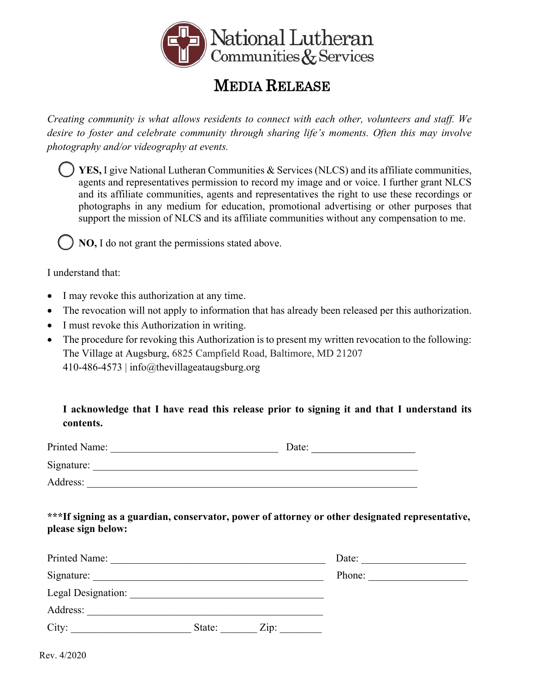

# MEDIA RELEASE

*Creating community is what allows residents to connect with each other, volunteers and staff. We desire to foster and celebrate community through sharing life's moments. Often this may involve photography and/or videography at events.* 

 **YES,** I give National Lutheran Communities & Services (NLCS) and its affiliate communities, agents and representatives permission to record my image and or voice. I further grant NLCS and its affiliate communities, agents and representatives the right to use these recordings or photographs in any medium for education, promotional advertising or other purposes that support the mission of NLCS and its affiliate communities without any compensation to me.

**NO,** I do not grant the permissions stated above.

I understand that:

- I may revoke this authorization at any time.
- The revocation will not apply to information that has already been released per this authorization.
- I must revoke this Authorization in writing.
- The procedure for revoking this Authorization is to present my written revocation to the following: The Village at Augsburg, 6825 Campfield Road, Baltimore, MD 21207 410-486-4573 | info@thevillageataugsburg.org

**I acknowledge that I have read this release prior to signing it and that I understand its contents.** 

| Printed Name: | Date: |
|---------------|-------|
| Signature:    |       |
| Address:      |       |

**\*\*\*If signing as a guardian, conservator, power of attorney or other designated representative, please sign below:**

| Printed Name:      |        |      | Date:  |
|--------------------|--------|------|--------|
| Signature:         |        |      | Phone: |
| Legal Designation: |        |      |        |
| Address:           |        |      |        |
| City:              | State: | Zip: |        |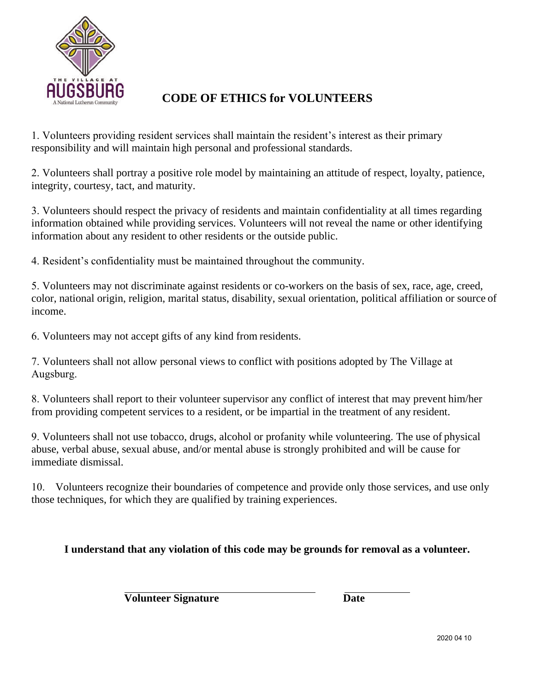

## **CODE OF ETHICS for VOLUNTEERS**

1. Volunteers providing resident services shall maintain the resident's interest as their primary responsibility and will maintain high personal and professional standards.

2. Volunteers shall portray a positive role model by maintaining an attitude of respect, loyalty, patience, integrity, courtesy, tact, and maturity.

3. Volunteers should respect the privacy of residents and maintain confidentiality at all times regarding information obtained while providing services. Volunteers will not reveal the name or other identifying information about any resident to other residents or the outside public.

4. Resident's confidentiality must be maintained throughout the community.

5. Volunteers may not discriminate against residents or co-workers on the basis of sex, race, age, creed, color, national origin, religion, marital status, disability, sexual orientation, political affiliation or source of income.

6. Volunteers may not accept gifts of any kind from residents.

7. Volunteers shall not allow personal views to conflict with positions adopted by The Village at Augsburg.

8. Volunteers shall report to their volunteer supervisor any conflict of interest that may prevent him/her from providing competent services to a resident, or be impartial in the treatment of any resident.

9. Volunteers shall not use tobacco, drugs, alcohol or profanity while volunteering. The use of physical abuse, verbal abuse, sexual abuse, and/or mental abuse is strongly prohibited and will be cause for immediate dismissal.

10. Volunteers recognize their boundaries of competence and provide only those services, and use only those techniques, for which they are qualified by training experiences.

#### **I understand that any violation of this code may be grounds for removal as a volunteer.**

**Volunteer Signature Date**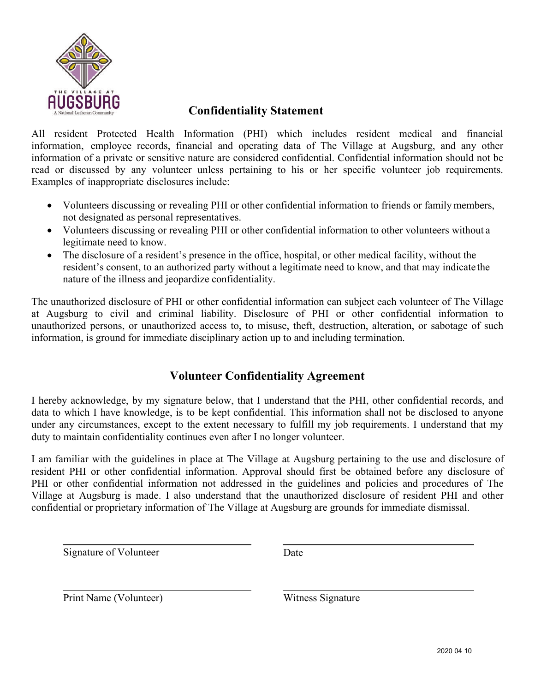

### **Confidentiality Statement**

All resident Protected Health Information (PHI) which includes resident medical and financial information, employee records, financial and operating data of The Village at Augsburg, and any other information of a private or sensitive nature are considered confidential. Confidential information should not be read or discussed by any volunteer unless pertaining to his or her specific volunteer job requirements. Examples of inappropriate disclosures include:

- Volunteers discussing or revealing PHI or other confidential information to friends or family members, not designated as personal representatives.
- Volunteers discussing or revealing PHI or other confidential information to other volunteers without a legitimate need to know.
- The disclosure of a resident's presence in the office, hospital, or other medical facility, without the resident's consent, to an authorized party without a legitimate need to know, and that may indicate the nature of the illness and jeopardize confidentiality.

The unauthorized disclosure of PHI or other confidential information can subject each volunteer of The Village at Augsburg to civil and criminal liability. Disclosure of PHI or other confidential information to unauthorized persons, or unauthorized access to, to misuse, theft, destruction, alteration, or sabotage of such information, is ground for immediate disciplinary action up to and including termination.

## **Volunteer Confidentiality Agreement**

I hereby acknowledge, by my signature below, that I understand that the PHI, other confidential records, and data to which I have knowledge, is to be kept confidential. This information shall not be disclosed to anyone under any circumstances, except to the extent necessary to fulfill my job requirements. I understand that my duty to maintain confidentiality continues even after I no longer volunteer.

I am familiar with the guidelines in place at The Village at Augsburg pertaining to the use and disclosure of resident PHI or other confidential information. Approval should first be obtained before any disclosure of PHI or other confidential information not addressed in the guidelines and policies and procedures of The Village at Augsburg is made. I also understand that the unauthorized disclosure of resident PHI and other confidential or proprietary information of The Village at Augsburg are grounds for immediate dismissal.

Signature of Volunteer Date

Print Name (Volunteer) Witness Signature